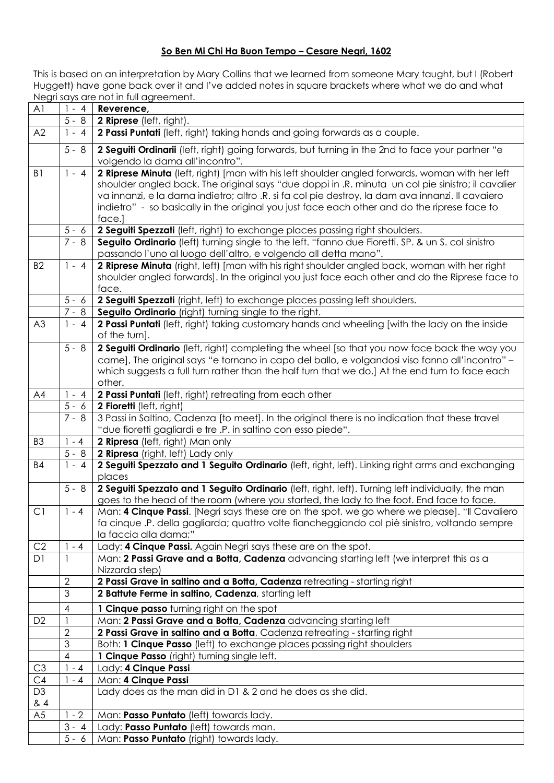## **So Ben Mi Chi Ha Buon Tempo – Cesare Negri, 1602**

This is based on an interpretation by Mary Collins that we learned from someone Mary taught, but I (Robert Huggett) have gone back over it and I've added notes in square brackets where what we do and what Negri says are not in full agreement.

| A <sub>1</sub> | $1 - 4$                  | Reverence,                                                                                                                          |
|----------------|--------------------------|-------------------------------------------------------------------------------------------------------------------------------------|
|                | $5 - 8$                  | 2 Riprese (left, right).                                                                                                            |
| A2             | $1 - 4$                  | 2 Passi Puntati (left, right) taking hands and going forwards as a couple.                                                          |
|                | $5 - 8$                  | 2 Seguiti Ordinarii (left, right) going forwards, but turning in the 2nd to face your partner "e<br>volgendo la dama all'incontro". |
| B <sub>1</sub> | $1 - 4$                  | 2 Riprese Minuta (left, right) [man with his left shoulder angled forwards, woman with her left                                     |
|                |                          | shoulder angled back. The original says "due doppi in .R. minuta un col pie sinistro; il cavalier                                   |
|                |                          | va innanzi, e la dama indietro; altro .R. si fa col pie destroy, la dam ava innanzi. Il cavaiero                                    |
|                |                          | indietro" - so basically in the original you just face each other and do the riprese face to                                        |
|                |                          | face.]                                                                                                                              |
|                | $5 - 6$                  | 2 Seguiti Spezzati (left, right) to exchange places passing right shoulders.                                                        |
|                | $7 - 8$                  | Seguito Ordinario (left) turning single to the left. "fanno due Fioretti. SP. & un S. col sinistro                                  |
|                |                          | passando l'uno al luogo dell'altro, e volgendo all detta mano".                                                                     |
| <b>B2</b>      | $1 - 4$                  | 2 Riprese Minuta (right, left) [man with his right shoulder angled back, woman with her right                                       |
|                |                          | shoulder angled forwards]. In the original you just face each other and do the Riprese face to<br>face.                             |
|                | $5 - 6$                  | 2 Seguiti Spezzati (right, left) to exchange places passing left shoulders.                                                         |
|                | $7 - 8$                  | Seguito Ordinario (right) turning single to the right.                                                                              |
| A3             | $1 - 4$                  | 2 Passi Puntati (left, right) taking customary hands and wheeling [with the lady on the inside                                      |
|                |                          | of the turn].                                                                                                                       |
|                | $5 - 8$                  | 2 Seguiti Ordinario (left, right) completing the wheel [so that you now face back the way you                                       |
|                |                          | came], The original says "e tornano in capo del ballo, e volgandosi viso fanno all'incontro" -                                      |
|                |                          | which suggests a full turn rather than the half turn that we do.] At the end turn to face each                                      |
|                |                          | other.                                                                                                                              |
| AA             | $1 - 4$                  | 2 Passi Puntati (left, right) retreating from each other                                                                            |
|                | $5 - 6$                  | 2 Fioretti (left, right)                                                                                                            |
|                | $7 - 8$                  | 3 Passi in Saltino, Cadenza [to meet]. In the original there is no indication that these travel                                     |
|                |                          | "due fioretti gagliardi e tre .P. in saltino con esso piede".                                                                       |
| B <sub>3</sub> | $1 - 4$                  | 2 Ripresa (left, right) Man only                                                                                                    |
|                | $5 - 8$<br>$1 - 4$       | 2 Ripresa (right, left) Lady only                                                                                                   |
| <b>B4</b>      |                          | 2 Seguiti Spezzato and 1 Seguito Ordinario (left, right, left). Linking right arms and exchanging<br>places                         |
|                | $5 - 8$                  | 2 Seguiti Spezzato and 1 Seguito Ordinario (left, right, left). Turning left individually, the man                                  |
|                |                          | goes to the head of the room (where you started, the lady to the foot. End face to face.                                            |
| C1             | $1 - 4$                  | Man: 4 Cinque Passi. [Negri says these are on the spot, we go where we please]. "Il Cavaliero                                       |
|                |                          | fa cinque .P. della gagliarda; quattro volte fiancheggiando col piè sinistro, voltando sempre<br>la faccia alla dama;"              |
| C <sub>2</sub> | $1 - 4$                  | Lady: 4 Cinque Passi. Again Negri says these are on the spot.                                                                       |
| D <sub>1</sub> |                          | Man: 2 Passi Grave and a Botta, Cadenza advancing starting left (we interpret this as a                                             |
|                |                          | Nizzarda step)                                                                                                                      |
|                | $\overline{2}$           | 2 Passi Grave in saltino and a Botta, Cadenza retreating - starting right                                                           |
|                | $\overline{3}$           | 2 Battute Ferme in saltino, Cadenza, starting left                                                                                  |
|                | $\overline{\mathcal{A}}$ | 1 Cinque passo turning right on the spot                                                                                            |
| D <sub>2</sub> |                          | Man: 2 Passi Grave and a Botta, Cadenza advancing starting left                                                                     |
|                | $\overline{2}$           | 2 Passi Grave in saltino and a Botta, Cadenza retreating - starting right                                                           |
|                | 3                        | Both: 1 Cinque Passo (left) to exchange places passing right shoulders                                                              |
|                | 4                        | 1 Cinque Passo (right) turning single left.                                                                                         |
| C <sub>3</sub> | $1 - 4$                  | Lady: 4 Cinque Passi                                                                                                                |
| C4             | $1 - 4$                  | Man: 4 Cinque Passi                                                                                                                 |
| D <sub>3</sub> |                          | Lady does as the man did in D1 & 2 and he does as she did.                                                                          |
| & 4            |                          |                                                                                                                                     |
| A <sub>5</sub> | $1 - 2$<br>$3 - 4$       | Man: Passo Puntato (left) towards lady.                                                                                             |
|                | $5 - 6$                  | Lady: Passo Puntato (left) towards man.<br>Man: Passo Puntato (right) towards lady.                                                 |
|                |                          |                                                                                                                                     |